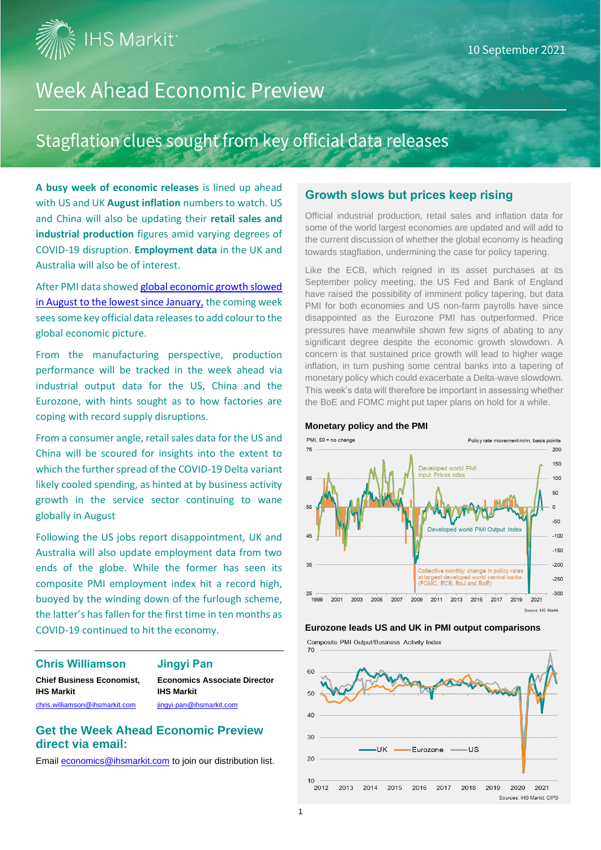**IHS Markit** 

# **Week Ahead Economic Preview**

# Stagflation clues sought from key official data releases

**A busy week of economic releases** is lined up ahead with US and UK **August inflation** numbers to watch. US and China will also be updating their **retail sales and industrial production** figures amid varying degrees of COVID-19 disruption. **Employment data** in the UK and Australia will also be of interest.

After PMI data showed [global economic growth slowed](https://ihsmarkit.com/research-analysis/global-economic-growth-slows-sharply-as-delta-variant-hits-businesses-Sep21.html) in August [to the lowest since January,](https://ihsmarkit.com/research-analysis/global-economic-growth-slows-sharply-as-delta-variant-hits-businesses-Sep21.html) the coming week sees some key official data releases to add colour to the global economic picture.

From the manufacturing perspective, production performance will be tracked in the week ahead via industrial output data for the US, China and the Eurozone, with hints sought as to how factories are coping with record supply disruptions.

From a consumer angle, retail sales data for the US and China will be scoured for insights into the extent to which the further spread of the COVID-19 Delta variant likely cooled spending, as hinted at by business activity growth in the service sector continuing to wane globally in August

Following the US jobs report disappointment, UK and Australia will also update employment data from two ends of the globe. While the former has seen its composite PMI employment index hit a record high, buoyed by the winding down of the furlough scheme, the latter's has fallen for the first time in ten months as COVID-19 continued to hit the economy.

#### **Chris Williamson Jingyi Pan**

**Chief Business Economist, Economics Associate Director IHS Markit IHS Markit**

[chris.williamson@ihsmarkit.com](mailto:chris.williamson@ihsmarkit.com) ingyi.pan@ihsmarkit.com

#### **Get the Week Ahead Economic Preview direct via email:**

Emai[l economics@ihsmarkit.com](mailto:economics@ihsmarkit.com) to join our distribution list.

#### **Growth slows but prices keep rising**

Official industrial production, retail sales and inflation data for some of the world largest economies are updated and will add to the current discussion of whether the global economy is heading towards stagflation, undermining the case for policy tapering.

Like the ECB, which reigned in its asset purchases at its September policy meeting, the US Fed and Bank of England have raised the possibility of imminent policy tapering, but data PMI for both economies and US non-farm payrolls have since disappointed as the Eurozone PMI has outperformed. Price pressures have meanwhile shown few signs of abating to any significant degree despite the economic growth slowdown. A concern is that sustained price growth will lead to higher wage inflation, in turn pushing some central banks into a tapering of monetary policy which could exacerbate a Delta-wave slowdown. This week's data will therefore be important in assessing whether the BoE and FOMC might put taper plans on hold for a while.

#### **Monetary policy and the PMI**



#### **Eurozone leads US and UK in PMI output comparisons**

Composite PMI Qutput/Business Activity Index

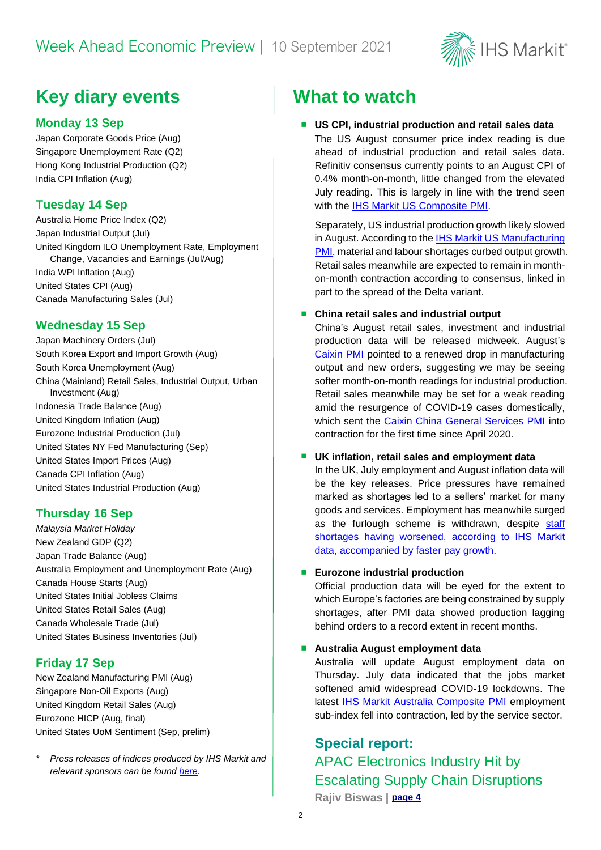

# **Key diary events What to watch**

### **Monday 13 Sep**

Japan Corporate Goods Price (Aug) Singapore Unemployment Rate (Q2) Hong Kong Industrial Production (Q2) India CPI Inflation (Aug)

## **Tuesday 14 Sep**

Australia Home Price Index (Q2) Japan Industrial Output (Jul) United Kingdom ILO Unemployment Rate, Employment Change, Vacancies and Earnings (Jul/Aug) India WPI Inflation (Aug) United States CPI (Aug) Canada Manufacturing Sales (Jul)

### **Wednesday 15 Sep**

Japan Machinery Orders (Jul) South Korea Export and Import Growth (Aug) South Korea Unemployment (Aug) China (Mainland) Retail Sales, Industrial Output, Urban Investment (Aug) Indonesia Trade Balance (Aug) United Kingdom Inflation (Aug) Eurozone Industrial Production (Jul) United States NY Fed Manufacturing (Sep) United States Import Prices (Aug) Canada CPI Inflation (Aug) United States Industrial Production (Aug)

## **Thursday 16 Sep**

*Malaysia Market Holiday* New Zealand GDP (Q2) Japan Trade Balance (Aug) Australia Employment and Unemployment Rate (Aug) Canada House Starts (Aug) United States Initial Jobless Claims United States Retail Sales (Aug) Canada Wholesale Trade (Jul) United States Business Inventories (Jul)

## **Friday 17 Sep**

New Zealand Manufacturing PMI (Aug) Singapore Non-Oil Exports (Aug) United Kingdom Retail Sales (Aug) Eurozone HICP (Aug, final) United States UoM Sentiment (Sep, prelim)

*\* Press releases of indices produced by IHS Markit and relevant sponsors can be foun[d here.](https://www.markiteconomics.com/Public/Release/PressReleases)*

#### ■ **US CPI, industrial production and retail sales data**

The US August consumer price index reading is due ahead of industrial production and retail sales data. Refinitiv consensus currently points to an August CPI of 0.4% month-on-month, little changed from the elevated July reading. This is largely in line with the trend seen with the [IHS Markit US Composite PMI.](http://www.markiteconomics.com/Public/Home/PressRelease/8bfca1780ca342dd8bf08db50fcee9d8)

Separately, US industrial production growth likely slowed in August. According to th[e IHS Markit US Manufacturing](https://www.markiteconomics.com/Public/Home/PressRelease/cb6af618670b451b98cd0d3f1e41cd31)  [PMI,](https://www.markiteconomics.com/Public/Home/PressRelease/cb6af618670b451b98cd0d3f1e41cd31) material and labour shortages curbed output growth. Retail sales meanwhile are expected to remain in monthon-month contraction according to consensus, linked in part to the spread of the Delta variant.

#### ■ China retail sales and industrial output

China's August retail sales, investment and industrial production data will be released midweek. August's [Caixin PMI](https://www.markiteconomics.com/Public/Home/PressRelease/93c05fffcc3d4a049560c577f642f270) pointed to a renewed drop in manufacturing output and new orders, suggesting we may be seeing softer month-on-month readings for industrial production. Retail sales meanwhile may be set for a weak reading amid the resurgence of COVID-19 cases domestically, which sent the [Caixin China General Services PMI](https://www.markiteconomics.com/Public/Home/PressRelease/24e272a6d6f043f18ac299776482d004) into contraction for the first time since April 2020.

#### ▪ **UK inflation, retail sales and employment data**

In the UK, July employment and August inflation data will be the key releases. Price pressures have remained marked as shortages led to a sellers' market for many goods and services. Employment has meanwhile surged as the furlough scheme is withdrawn, despite staff [shortages having worsened,](https://www.markiteconomics.com/Public/Home/PressRelease/800a23a9fa904888890fcfa253963947) according to IHS Markit [data, accompanied by](https://www.markiteconomics.com/Public/Home/PressRelease/800a23a9fa904888890fcfa253963947) faster pay growth.

#### ■ **Eurozone industrial production**

Official production data will be eyed for the extent to which Europe's factories are being constrained by supply shortages, after PMI data showed production lagging behind orders to a record extent in recent months.

#### ■ **Australia August employment data**

Australia will update August employment data on Thursday. July data indicated that the jobs market softened amid widespread COVID-19 lockdowns. The latest [IHS Markit Australia Composite PMI](https://www.markiteconomics.com/Public/Home/PressRelease/365669476e22456bbf9dc23b4802fc80) employment sub-index fell into contraction, led by the service sector.

# **Special report:**

APAC Electronics Industry Hit by Escalating Supply Chain Disruptions **Rajiv Biswas | [page 4](#page-3-0)**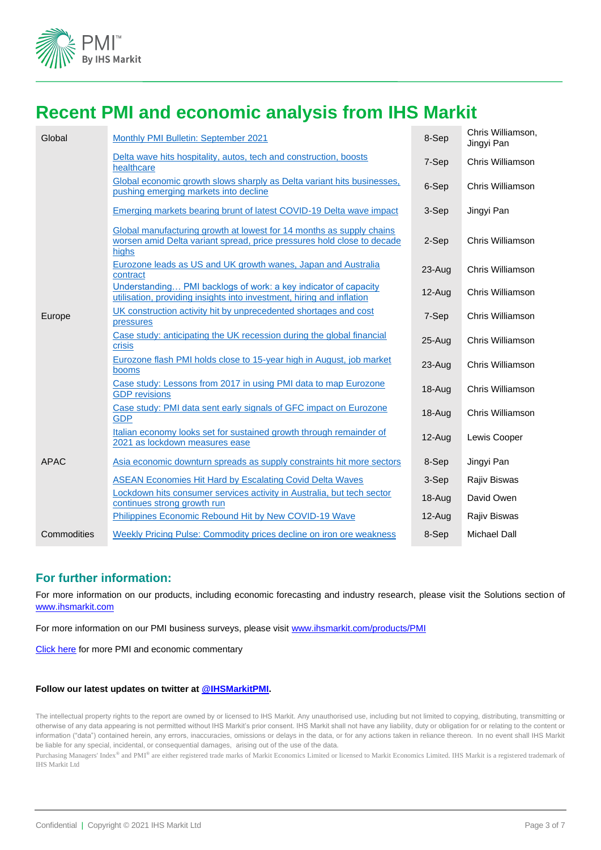

# **Recent PMI and economic analysis from IHS Markit**

| Global      | Monthly PMI Bulletin: September 2021                                                                                                                    | 8-Sep      | Chris Williamson,<br>Jingyi Pan |
|-------------|---------------------------------------------------------------------------------------------------------------------------------------------------------|------------|---------------------------------|
|             | Delta wave hits hospitality, autos, tech and construction, boosts<br>healthcare                                                                         | 7-Sep      | Chris Williamson                |
|             | Global economic growth slows sharply as Delta variant hits businesses,<br>pushing emerging markets into decline                                         | 6-Sep      | Chris Williamson                |
|             | <b>Emerging markets bearing brunt of latest COVID-19 Delta wave impact</b>                                                                              | 3-Sep      | Jingyi Pan                      |
|             | Global manufacturing growth at lowest for 14 months as supply chains<br>worsen amid Delta variant spread, price pressures hold close to decade<br>highs | 2-Sep      | Chris Williamson                |
|             | Eurozone leads as US and UK growth wanes, Japan and Australia<br>contract                                                                               | $23 - Aug$ | Chris Williamson                |
|             | Understanding PMI backlogs of work: a key indicator of capacity<br>utilisation, providing insights into investment, hiring and inflation                | $12 - Aug$ | Chris Williamson                |
| Europe      | UK construction activity hit by unprecedented shortages and cost<br>pressures                                                                           | 7-Sep      | Chris Williamson                |
|             | Case study: anticipating the UK recession during the global financial<br>crisis                                                                         | $25 - Aug$ | Chris Williamson                |
|             | Eurozone flash PMI holds close to 15-year high in August, job market<br>booms                                                                           | $23 - Aug$ | Chris Williamson                |
|             | Case study: Lessons from 2017 in using PMI data to map Eurozone<br><b>GDP</b> revisions                                                                 | $18 - Aug$ | Chris Williamson                |
|             | Case study: PMI data sent early signals of GFC impact on Eurozone<br><b>GDP</b>                                                                         | $18 - Aug$ | Chris Williamson                |
|             | Italian economy looks set for sustained growth through remainder of<br>2021 as lockdown measures ease                                                   | $12-Aug$   | Lewis Cooper                    |
| <b>APAC</b> | Asia economic downturn spreads as supply constraints hit more sectors                                                                                   | 8-Sep      | Jingyi Pan                      |
|             | <b>ASEAN Economies Hit Hard by Escalating Covid Delta Waves</b>                                                                                         | 3-Sep      | <b>Rajiv Biswas</b>             |
|             | Lockdown hits consumer services activity in Australia, but tech sector<br>continues strong growth run                                                   | $18 - Aug$ | David Owen                      |
|             | Philippines Economic Rebound Hit by New COVID-19 Wave                                                                                                   | $12$ -Aug  | <b>Rajiv Biswas</b>             |
| Commodities | Weekly Pricing Pulse: Commodity prices decline on iron ore weakness                                                                                     | 8-Sep      | <b>Michael Dall</b>             |

#### **For further information:**

For more information on our products, including economic forecasting and industry research, please visit the Solutions section of [www.ihsmarkit.com](http://www.ihsmarkit.com/)

For more information on our PMI business surveys, please visit [www.ihsmarkit.com/products/PMI](http://www.ihsmarkit.com/products/PMI)

[Click here](https://ihsmarkit.com/research-analysis/pmi.html) for more PMI and economic commentary

#### **Follow our latest updates on twitter at [@IHSMarkitPMI.](https://twitter.com/IHSMarkitPMI)**

The intellectual property rights to the report are owned by or licensed to IHS Markit. Any unauthorised use, including but not limited to copying, distributing, transmitting or otherwise of any data appearing is not permitted without IHS Markit's prior consent. IHS Markit shall not have any liability, duty or obligation for or relating to the content or information ("data") contained herein, any errors, inaccuracies, omissions or delays in the data, or for any actions taken in reliance thereon. In no event shall IHS Markit be liable for any special, incidental, or consequential damages, arising out of the use of the data.

Purchasing Managers' Index® and PMI® are either registered trade marks of Markit Economics Limited or licensed to Markit Economics Limited. IHS Markit is a registered trademark of IHS Markit Ltd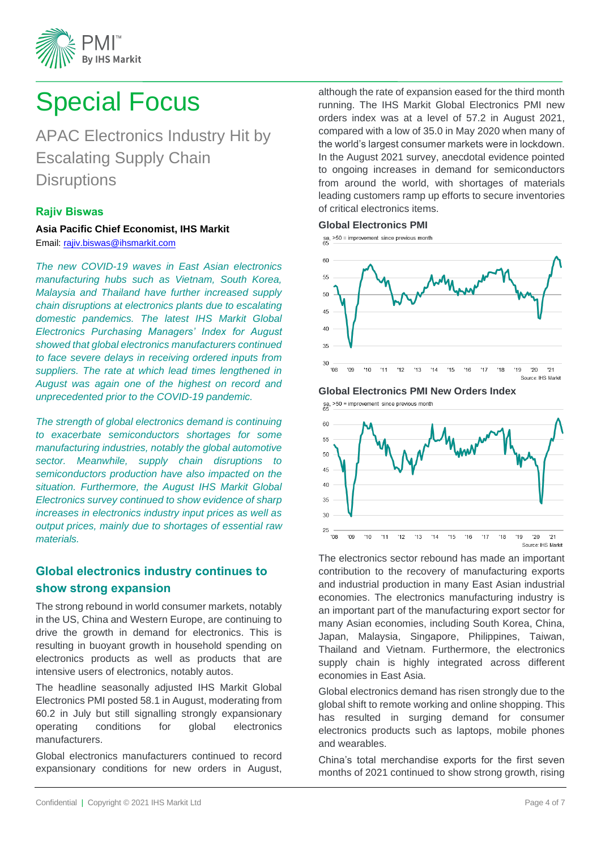

# <span id="page-3-0"></span>Special Focus

APAC Electronics Industry Hit by Escalating Supply Chain **Disruptions** 

#### **Rajiv Biswas**

**Asia Pacific Chief Economist, IHS Markit**  Email: [rajiv.biswas@ihsmarkit.com](mailto:rajiv.biswas@ihsmarkit.com)

*The new COVID-19 waves in East Asian electronics manufacturing hubs such as Vietnam, South Korea, Malaysia and Thailand have further increased supply chain disruptions at electronics plants due to escalating domestic pandemics. The latest IHS Markit Global Electronics Purchasing Managers' Index for August showed that global electronics manufacturers continued to face severe delays in receiving ordered inputs from suppliers. The rate at which lead times lengthened in August was again one of the highest on record and unprecedented prior to the COVID-19 pandemic.*

*The strength of global electronics demand is continuing to exacerbate semiconductors shortages for some manufacturing industries, notably the global automotive sector. Meanwhile, supply chain disruptions to semiconductors production have also impacted on the situation. Furthermore, the August IHS Markit Global Electronics survey continued to show evidence of sharp increases in electronics industry input prices as well as output prices, mainly due to shortages of essential raw materials.*

## **Global electronics industry continues to show strong expansion**

The strong rebound in world consumer markets, notably in the US, China and Western Europe, are continuing to drive the growth in demand for electronics. This is resulting in buoyant growth in household spending on electronics products as well as products that are intensive users of electronics, notably autos.

The headline seasonally adjusted IHS Markit Global Electronics PMI posted 58.1 in August, moderating from 60.2 in July but still signalling strongly expansionary operating conditions for global electronics manufacturers.

Global electronics manufacturers continued to record expansionary conditions for new orders in August, although the rate of expansion eased for the third month running. The IHS Markit Global Electronics PMI new orders index was at a level of 57.2 in August 2021, compared with a low of 35.0 in May 2020 when many of the world's largest consumer markets were in lockdown. In the August 2021 survey, anecdotal evidence pointed to ongoing increases in demand for semiconductors from around the world, with shortages of materials leading customers ramp up efforts to secure inventories of critical electronics items.

#### **Global Electronics PMI**

sa,  $>50$  = improvement since previous month



**Global Electronics PMI New Orders Index**<br>
Se, >50 = improvement since previous month



The electronics sector rebound has made an important contribution to the recovery of manufacturing exports and industrial production in many East Asian industrial economies. The electronics manufacturing industry is an important part of the manufacturing export sector for many Asian economies, including South Korea, China, Japan, Malaysia, Singapore, Philippines, Taiwan, Thailand and Vietnam. Furthermore, the electronics supply chain is highly integrated across different economies in East Asia.

Global electronics demand has risen strongly due to the global shift to remote working and online shopping. This has resulted in surging demand for consumer electronics products such as laptops, mobile phones and wearables.

China's total merchandise exports for the first seven months of 2021 continued to show strong growth, rising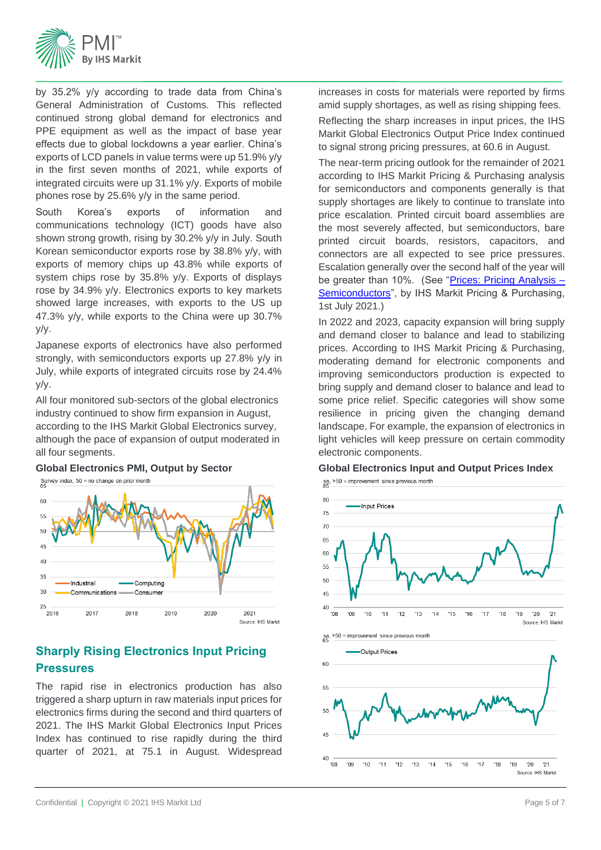

by 35.2% y/y according to trade data from China's General Administration of Customs. This reflected continued strong global demand for electronics and PPE equipment as well as the impact of base year effects due to global lockdowns a year earlier. China's exports of LCD panels in value terms were up 51.9% y/y in the first seven months of 2021, while exports of integrated circuits were up 31.1% y/y. Exports of mobile phones rose by 25.6% y/y in the same period.

South Korea's exports of information and communications technology (ICT) goods have also shown strong growth, rising by 30.2% y/y in July. South Korean semiconductor exports rose by 38.8% y/y, with exports of memory chips up 43.8% while exports of system chips rose by 35.8% y/y. Exports of displays rose by 34.9% y/y. Electronics exports to key markets showed large increases, with exports to the US up 47.3% y/y, while exports to the China were up 30.7% y/y.

Japanese exports of electronics have also performed strongly, with semiconductors exports up 27.8% y/y in July, while exports of integrated circuits rose by 24.4% y/y.

All four monitored sub-sectors of the global electronics industry continued to show firm expansion in August, according to the IHS Markit Global Electronics survey, although the pace of expansion of output moderated in all four segments.

**Global Electronics PMI, Output by Sector**



## **Sharply Rising Electronics Input Pricing Pressures**

The rapid rise in electronics production has also triggered a sharp upturn in raw materials input prices for electronics firms during the second and third quarters of 2021. The IHS Markit Global Electronics Input Prices Index has continued to rise rapidly during the third quarter of 2021, at 75.1 in August. Widespread

increases in costs for materials were reported by firms amid supply shortages, as well as rising shipping fees.

Reflecting the sharp increases in input prices, the IHS Markit Global Electronics Output Price Index continued to signal strong pricing pressures, at 60.6 in August.

The near-term pricing outlook for the remainder of 2021 according to IHS Markit Pricing & Purchasing analysis for semiconductors and components generally is that supply shortages are likely to continue to translate into price escalation. Printed circuit board assemblies are the most severely affected, but semiconductors, bare printed circuit boards, resistors, capacitors, and connectors are all expected to see price pressures. Escalation generally over the second half of the year will be greater than 10%. (See ["Prices: Pricing Analysis –](https://connect.ihsmarkit.com/document/show/phoenix/994776?connectPath=Search&searchSessionId=eed6d91b-5187-4fff-a23d-ed8f8e4c6148) [Semiconductors"](https://connect.ihsmarkit.com/document/show/phoenix/994776?connectPath=Search&searchSessionId=eed6d91b-5187-4fff-a23d-ed8f8e4c6148), by IHS Markit Pricing & Purchasing, 1st July 2021.)

In 2022 and 2023, capacity expansion will bring supply and demand closer to balance and lead to stabilizing prices. According to IHS Markit Pricing & Purchasing, moderating demand for electronic components and improving semiconductors production is expected to bring supply and demand closer to balance and lead to some price relief. Specific categories will show some resilience in pricing given the changing demand landscape. For example, the expansion of electronics in light vehicles will keep pressure on certain commodity electronic components.

#### **Global Electronics Input and Output Prices Index**

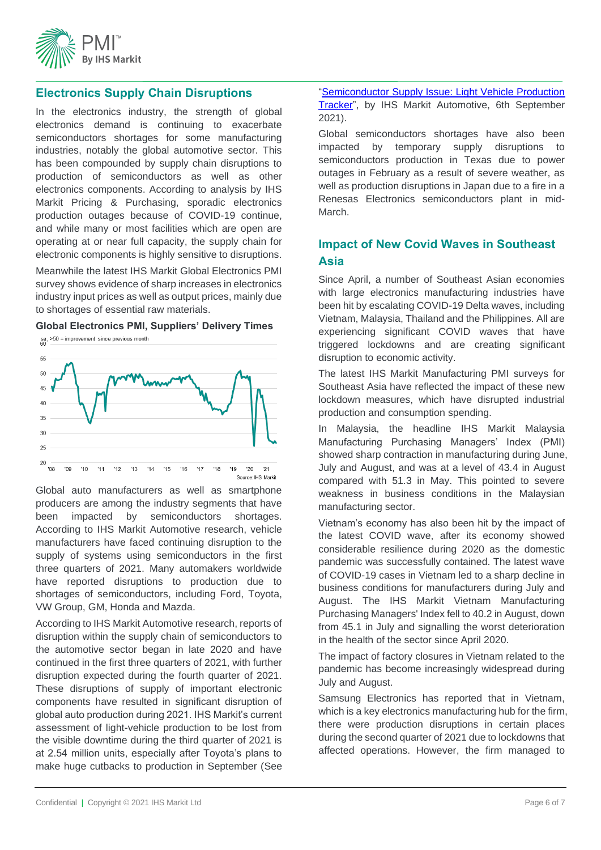

#### **Electronics Supply Chain Disruptions**

In the electronics industry, the strength of global electronics demand is continuing to exacerbate semiconductors shortages for some manufacturing industries, notably the global automotive sector. This has been compounded by supply chain disruptions to production of semiconductors as well as other electronics components. According to analysis by IHS Markit Pricing & Purchasing, sporadic electronics production outages because of COVID-19 continue, and while many or most facilities which are open are operating at or near full capacity, the supply chain for electronic components is highly sensitive to disruptions.

Meanwhile the latest IHS Markit Global Electronics PMI survey shows evidence of sharp increases in electronics industry input prices as well as output prices, mainly due to shortages of essential raw materials.



Global auto manufacturers as well as smartphone producers are among the industry segments that have been impacted by semiconductors shortages. According to IHS Markit Automotive research, vehicle manufacturers have faced continuing disruption to the supply of systems using semiconductors in the first three quarters of 2021. Many automakers worldwide have reported disruptions to production due to shortages of semiconductors, including Ford, Toyota, VW Group, GM, Honda and Mazda.

According to IHS Markit Automotive research, reports of disruption within the supply chain of semiconductors to the automotive sector began in late 2020 and have continued in the first three quarters of 2021, with further disruption expected during the fourth quarter of 2021. These disruptions of supply of important electronic components have resulted in significant disruption of global auto production during 2021. IHS Markit's current assessment of light-vehicle production to be lost from the visible downtime during the third quarter of 2021 is at 2.54 million units, especially after Toyota's plans to make huge cutbacks to production in September (See ["Semiconductor Supply Issue: Light Vehicle Production](https://connect.ihsmarkit.com/document/show/phoenix/3874632?connectPath=AutoInteliigenceLandingPage.Home.MostRead)  [Tracker"](https://connect.ihsmarkit.com/document/show/phoenix/3874632?connectPath=AutoInteliigenceLandingPage.Home.MostRead), by IHS Markit Automotive, 6th September 2021).

Global semiconductors shortages have also been impacted by temporary supply disruptions to semiconductors production in Texas due to power outages in February as a result of severe weather, as well as production disruptions in Japan due to a fire in a Renesas Electronics semiconductors plant in mid-March.

### **Impact of New Covid Waves in Southeast Asia**

Since April, a number of Southeast Asian economies with large electronics manufacturing industries have been hit by escalating COVID-19 Delta waves, including Vietnam, Malaysia, Thailand and the Philippines. All are experiencing significant COVID waves that have triggered lockdowns and are creating significant disruption to economic activity.

The latest IHS Markit Manufacturing PMI surveys for Southeast Asia have reflected the impact of these new lockdown measures, which have disrupted industrial production and consumption spending.

In Malaysia, the headline IHS Markit Malaysia Manufacturing Purchasing Managers' Index (PMI) showed sharp contraction in manufacturing during June, July and August, and was at a level of 43.4 in August compared with 51.3 in May. This pointed to severe weakness in business conditions in the Malaysian manufacturing sector.

Vietnam's economy has also been hit by the impact of the latest COVID wave, after its economy showed considerable resilience during 2020 as the domestic pandemic was successfully contained. The latest wave of COVID-19 cases in Vietnam led to a sharp decline in business conditions for manufacturers during July and August. The IHS Markit Vietnam Manufacturing Purchasing Managers' Index fell to 40.2 in August, down from 45.1 in July and signalling the worst deterioration in the health of the sector since April 2020.

The impact of factory closures in Vietnam related to the pandemic has become increasingly widespread during July and August.

Samsung Electronics has reported that in Vietnam, which is a key electronics manufacturing hub for the firm, there were production disruptions in certain places during the second quarter of 2021 due to lockdowns that affected operations. However, the firm managed to